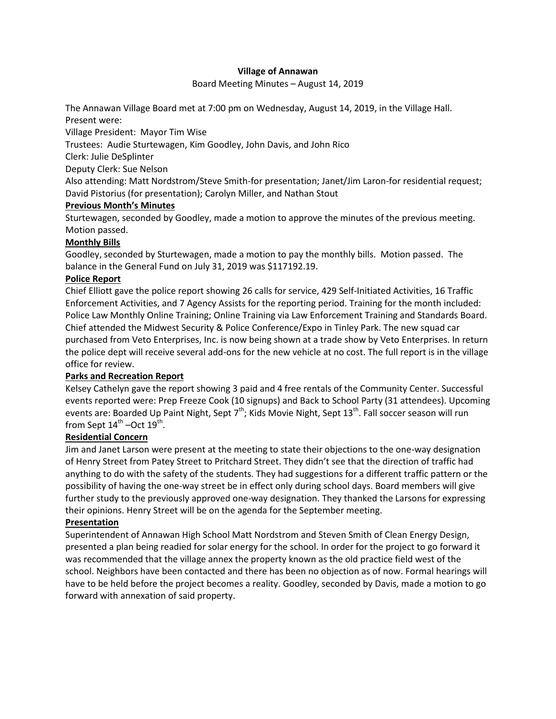### **Village of Annawan**

Board Meeting Minutes – August 14, 2019

The Annawan Village Board met at 7:00 pm on Wednesday, August 14, 2019, in the Village Hall. Present were:

Village President: Mayor Tim Wise

Trustees: Audie Sturtewagen, Kim Goodley, John Davis, and John Rico

Clerk: Julie DeSplinter

Deputy Clerk: Sue Nelson

Also attending: Matt Nordstrom/Steve Smith-for presentation; Janet/Jim Laron-for residential request; David Pistorius (for presentation); Carolyn Miller, and Nathan Stout

## **Previous Month's Minutes**

Sturtewagen, seconded by Goodley, made a motion to approve the minutes of the previous meeting. Motion passed.

# **Monthly Bills**

Goodley, seconded by Sturtewagen, made a motion to pay the monthly bills. Motion passed. The balance in the General Fund on July 31, 2019 was \$117192.19.

## **Police Report**

Chief Elliott gave the police report showing 26 calls for service, 429 Self-Initiated Activities, 16 Traffic Enforcement Activities, and 7 Agency Assists for the reporting period. Training for the month included: Police Law Monthly Online Training; Online Training via Law Enforcement Training and Standards Board. Chief attended the Midwest Security & Police Conference/Expo in Tinley Park. The new squad car purchased from Veto Enterprises, Inc. is now being shown at a trade show by Veto Enterprises. In return the police dept will receive several add-ons for the new vehicle at no cost. The full report is in the village office for review.

# **Parks and Recreation Report**

Kelsey Cathelyn gave the report showing 3 paid and 4 free rentals of the Community Center. Successful events reported were: Prep Freeze Cook (10 signups) and Back to School Party (31 attendees). Upcoming events are: Boarded Up Paint Night, Sept  $7<sup>th</sup>$ ; Kids Movie Night, Sept 13<sup>th</sup>. Fall soccer season will run from Sept  $14^{\text{th}}$  –Oct  $19^{\text{th}}$ .

# **Residential Concern**

Jim and Janet Larson were present at the meeting to state their objections to the one-way designation of Henry Street from Patey Street to Pritchard Street. They didn't see that the direction of traffic had anything to do with the safety of the students. They had suggestions for a different traffic pattern or the possibility of having the one-way street be in effect only during school days. Board members will give further study to the previously approved one-way designation. They thanked the Larsons for expressing their opinions. Henry Street will be on the agenda for the September meeting.

### **Presentation**

Superintendent of Annawan High School Matt Nordstrom and Steven Smith of Clean Energy Design, presented a plan being readied for solar energy for the school. In order for the project to go forward it was recommended that the village annex the property known as the old practice field west of the school. Neighbors have been contacted and there has been no objection as of now. Formal hearings will have to be held before the project becomes a reality. Goodley, seconded by Davis, made a motion to go forward with annexation of said property.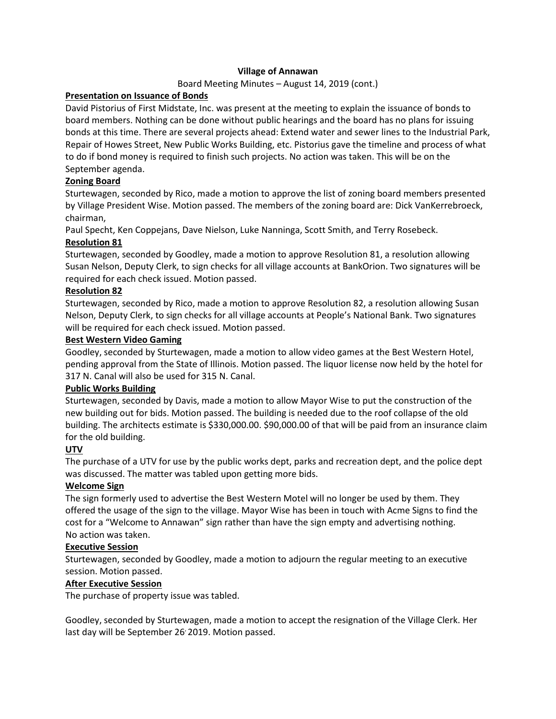## **Village of Annawan**

### Board Meeting Minutes – August 14, 2019 (cont.)

### **Presentation on Issuance of Bonds**

David Pistorius of First Midstate, Inc. was present at the meeting to explain the issuance of bonds to board members. Nothing can be done without public hearings and the board has no plans for issuing bonds at this time. There are several projects ahead: Extend water and sewer lines to the Industrial Park, Repair of Howes Street, New Public Works Building, etc. Pistorius gave the timeline and process of what to do if bond money is required to finish such projects. No action was taken. This will be on the September agenda.

## **Zoning Board**

Sturtewagen, seconded by Rico, made a motion to approve the list of zoning board members presented by Village President Wise. Motion passed. The members of the zoning board are: Dick VanKerrebroeck, chairman,

Paul Specht, Ken Coppejans, Dave Nielson, Luke Nanninga, Scott Smith, and Terry Rosebeck.

## **Resolution 81**

Sturtewagen, seconded by Goodley, made a motion to approve Resolution 81, a resolution allowing Susan Nelson, Deputy Clerk, to sign checks for all village accounts at BankOrion. Two signatures will be required for each check issued. Motion passed.

## **Resolution 82**

Sturtewagen, seconded by Rico, made a motion to approve Resolution 82, a resolution allowing Susan Nelson, Deputy Clerk, to sign checks for all village accounts at People's National Bank. Two signatures will be required for each check issued. Motion passed.

### **Best Western Video Gaming**

Goodley, seconded by Sturtewagen, made a motion to allow video games at the Best Western Hotel, pending approval from the State of Illinois. Motion passed. The liquor license now held by the hotel for 317 N. Canal will also be used for 315 N. Canal.

### **Public Works Building**

Sturtewagen, seconded by Davis, made a motion to allow Mayor Wise to put the construction of the new building out for bids. Motion passed. The building is needed due to the roof collapse of the old building. The architects estimate is \$330,000.00. \$90,000.00 of that will be paid from an insurance claim for the old building.

# **UTV**

The purchase of a UTV for use by the public works dept, parks and recreation dept, and the police dept was discussed. The matter was tabled upon getting more bids.

### **Welcome Sign**

The sign formerly used to advertise the Best Western Motel will no longer be used by them. They offered the usage of the sign to the village. Mayor Wise has been in touch with Acme Signs to find the cost for a "Welcome to Annawan" sign rather than have the sign empty and advertising nothing. No action was taken.

### **Executive Session**

Sturtewagen, seconded by Goodley, made a motion to adjourn the regular meeting to an executive session. Motion passed.

### **After Executive Session**

The purchase of property issue was tabled.

Goodley, seconded by Sturtewagen, made a motion to accept the resignation of the Village Clerk. Her last day will be September 26' 2019. Motion passed.